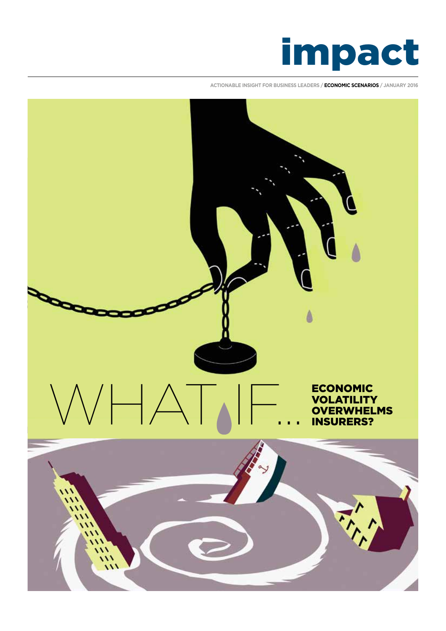

**ACTIONABLE INSIGHT FOR BUSINESS LEADERS / ECONOMIC SCENARIOS / JANUARY 2016**

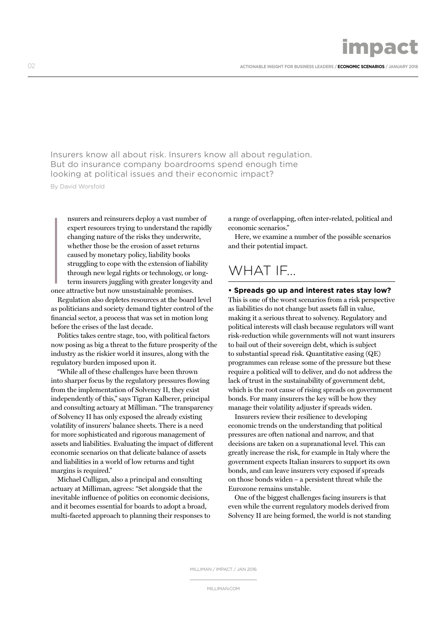02 **ACTIONABLE INSIGHT FOR BUSINESS LEADERS / ECONOMIC SCENARIOS / JANUARY 2016**

impact

Insurers know all about risk. Insurers know all about regulation. But do insurance company boardrooms spend enough time looking at political issues and their economic impact?

By David Worsfold

nsurers and reinsurers deploy a vast number of expert resources trying to understand the rapidly changing nature of the risks they underwrite, whether those be the erosion of asset returns caused by monetary policy, liability books struggling to cope with the extension of liability through new legal rights or technology, or longterm insurers juggling with greater longevity and  $\begin{array}{c} \hline \text{\\ \quad} \\ \text{\\ \quad} \\ \text{once:} \end{array}$ 

once attractive but now unsustainable promises. Regulation also depletes resources at the board level

as politicians and society demand tighter control of the financial sector, a process that was set in motion long before the crises of the last decade.

Politics takes centre stage, too, with political factors now posing as big a threat to the future prosperity of the industry as the riskier world it insures, along with the regulatory burden imposed upon it.

"While all of these challenges have been thrown into sharper focus by the regulatory pressures flowing from the implementation of Solvency II, they exist independently of this," says Tigran Kalberer, principal and consulting actuary at Milliman. "The transparency of Solvency II has only exposed the already existing volatility of insurers' balance sheets. There is a need for more sophisticated and rigorous management of assets and liabilities. Evaluating the impact of different economic scenarios on that delicate balance of assets and liabilities in a world of low returns and tight margins is required."

Michael Culligan, also a principal and consulting actuary at Milliman, agrees: "Set alongside that the inevitable influence of politics on economic decisions, and it becomes essential for boards to adopt a broad, multi-faceted approach to planning their responses to a range of overlapping, often inter-related, political and economic scenarios."

Here, we examine a number of the possible scenarios and their potential impact.

## WHAT IF…

### **• Spreads go up and interest rates stay low?**

This is one of the worst scenarios from a risk perspective as liabilities do not change but assets fall in value, making it a serious threat to solvency. Regulatory and political interests will clash because regulators will want risk-reduction while governments will not want insurers to bail out of their sovereign debt, which is subject to substantial spread risk. Quantitative easing (QE) programmes can release some of the pressure but these require a political will to deliver, and do not address the lack of trust in the sustainability of government debt, which is the root cause of rising spreads on government bonds. For many insurers the key will be how they manage their volatility adjuster if spreads widen.

Insurers review their resilience to developing economic trends on the understanding that political pressures are often national and narrow, and that decisions are taken on a supranational level. This can greatly increase the risk, for example in Italy where the government expects Italian insurers to support its own bonds, and can leave insurers very exposed if spreads on those bonds widen – a persistent threat while the Eurozone remains unstable.

One of the biggest challenges facing insurers is that even while the current regulatory models derived from Solvency II are being formed, the world is not standing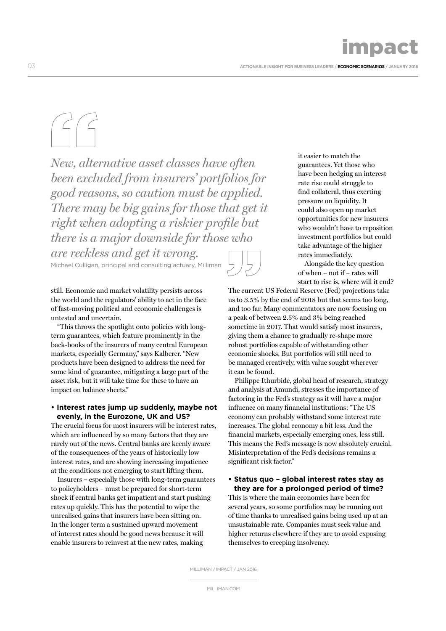infolatet i

*New, alternative asset classes have often been excluded from insurers' portfolios for good reasons, so caution must be applied. There may be big gains for those that get it right when adopting a riskier profile but there is a major downside for those who are reckless and get it wrong.*  Michael Culligan, principal and consulting actuary, Milliman

still. Economic and market volatility persists across the world and the regulators' ability to act in the face of fast-moving political and economic challenges is untested and uncertain.

"This throws the spotlight onto policies with longterm guarantees, which feature prominently in the back-books of the insurers of many central European markets, especially Germany," says Kalberer. "New products have been designed to address the need for some kind of guarantee, mitigating a large part of the asset risk, but it will take time for these to have an impact on balance sheets."

### **• Interest rates jump up suddenly, maybe not evenly, in the Eurozone, UK and US?**

The crucial focus for most insurers will be interest rates, which are influenced by so many factors that they are rarely out of the news. Central banks are keenly aware of the consequences of the years of historically low interest rates, and are showing increasing impatience at the conditions not emerging to start lifting them.

Insurers – especially those with long-term guarantees to policyholders – must be prepared for short-term shock if central banks get impatient and start pushing rates up quickly. This has the potential to wipe the unrealised gains that insurers have been sitting on. In the longer term a sustained upward movement of interest rates should be good news because it will enable insurers to reinvest at the new rates, making

it easier to match the guarantees. Yet those who have been hedging an interest rate rise could struggle to find collateral, thus exerting pressure on liquidity. It could also open up market opportunities for new insurers who wouldn't have to reposition investment portfolios but could take advantage of the higher rates immediately.

Alongside the key question of when – not if – rates will start to rise is, where will it end?

The current US Federal Reserve (Fed) projections take us to 3.5% by the end of 2018 but that seems too long, and too far. Many commentators are now focusing on a peak of between 2.5% and 3% being reached sometime in 2017. That would satisfy most insurers, giving them a chance to gradually re-shape more robust portfolios capable of withstanding other economic shocks. But portfolios will still need to be managed creatively, with value sought wherever it can be found.

Philippe Ithurbide, global head of research, strategy and analysis at Amundi, stresses the importance of factoring in the Fed's strategy as it will have a major influence on many financial institutions: "The US economy can probably withstand some interest rate increases. The global economy a bit less. And the financial markets, especially emerging ones, less still. This means the Fed's message is now absolutely crucial. Misinterpretation of the Fed's decisions remains a significant risk factor."

### **• Status quo – global interest rates stay as they are for a prolonged period of time?**

This is where the main economies have been for several years, so some portfolios may be running out of time thanks to unrealised gains being used up at an unsustainable rate. Companies must seek value and higher returns elsewhere if they are to avoid exposing themselves to creeping insolvency.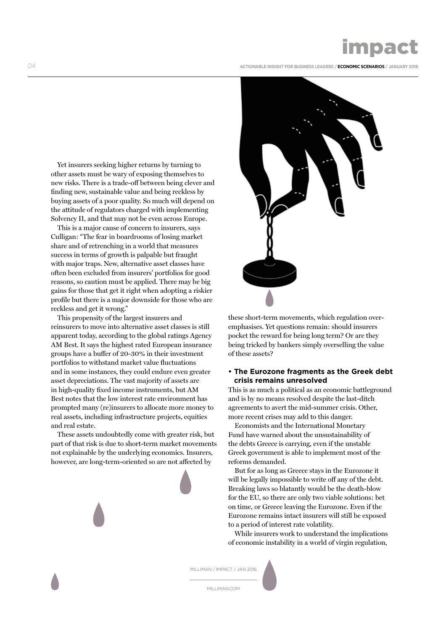# impact

04 **ACTIONABLE INSIGHT FOR BUSINESS LEADERS / ECONOMIC SCENARIOS / JANUARY 2016**

Yet insurers seeking higher returns by turning to other assets must be wary of exposing themselves to new risks. There is a trade-off between being clever and finding new, sustainable value and being reckless by buying assets of a poor quality. So much will depend on the attitude of regulators charged with implementing Solvency II, and that may not be even across Europe.

This is a major cause of concern to insurers, says Culligan: "The fear in boardrooms of losing market share and of retrenching in a world that measures success in terms of growth is palpable but fraught with major traps. New, alternative asset classes have often been excluded from insurers' portfolios for good reasons, so caution must be applied. There may be big gains for those that get it right when adopting a riskier profile but there is a major downside for those who are reckless and get it wrong."

This propensity of the largest insurers and reinsurers to move into alternative asset classes is still apparent today, according to the global ratings Agency AM Best. It says the highest rated European insurance groups have a buffer of 20-30% in their investment portfolios to withstand market value fluctuations and in some instances, they could endure even greater asset depreciations. The vast majority of assets are in high-quality fixed income instruments, but AM Best notes that the low interest rate environment has prompted many (re)insurers to allocate more money to real assets, including infrastructure projects, equities and real estate.

These assets undoubtedly come with greater risk, but part of that risk is due to short-term market movements not explainable by the underlying economics. Insurers, however, are long-term-oriented so are not affected by



these short-term movements, which regulation overemphasises. Yet questions remain: should insurers pocket the reward for being long term? Or are they being tricked by bankers simply overselling the value of these assets?

### **• The Eurozone fragments as the Greek debt crisis remains unresolved**

This is as much a political as an economic battleground and is by no means resolved despite the last-ditch agreements to avert the mid-summer crisis. Other, more recent crises may add to this danger.

Economists and the International Monetary Fund have warned about the unsustainability of the debts Greece is carrying, even if the unstable Greek government is able to implement most of the reforms demanded.

But for as long as Greece stays in the Eurozone it will be legally impossible to write off any of the debt. Breaking laws so blatantly would be the death-blow for the EU, so there are only two viable solutions: bet on time, or Greece leaving the Eurozone. Even if the Eurozone remains intact insurers will still be exposed to a period of interest rate volatility.

While insurers work to understand the implications of economic instability in a world of virgin regulation,

MILLIMAN / IMPACT / JAN 2016

MILLIMAN.COM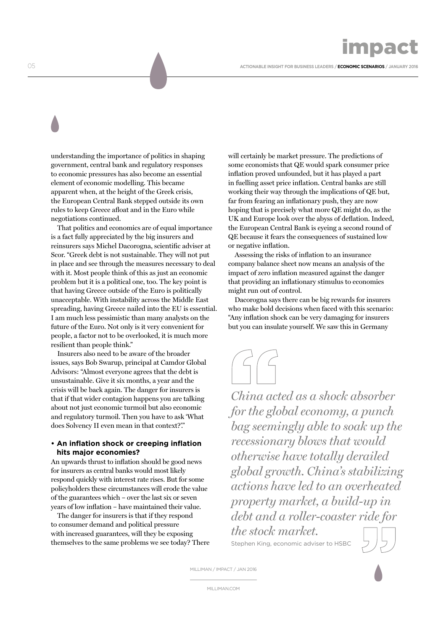05 **ACTIONABLE INSIGHT FOR BUSINESS LEADERS / ECONOMIC SCENARIOS / JANUARY 2016**

understanding the importance of politics in shaping government, central bank and regulatory responses to economic pressures has also become an essential element of economic modelling. This became apparent when, at the height of the Greek crisis, the European Central Bank stepped outside its own rules to keep Greece afloat and in the Euro while negotiations continued.

That politics and economics are of equal importance is a fact fully appreciated by the big insurers and reinsurers says Michel Dacorogna, scientific adviser at Scor. "Greek debt is not sustainable. They will not put in place and see through the measures necessary to deal with it. Most people think of this as just an economic problem but it is a political one, too. The key point is that having Greece outside of the Euro is politically unacceptable. With instability across the Middle East spreading, having Greece nailed into the EU is essential. I am much less pessimistic than many analysts on the future of the Euro. Not only is it very convenient for people, a factor not to be overlooked, it is much more resilient than people think."

Insurers also need to be aware of the broader issues, says Bob Swarup, principal at Camdor Global Advisors: "Almost everyone agrees that the debt is unsustainable. Give it six months, a year and the crisis will be back again. The danger for insurers is that if that wider contagion happens you are talking about not just economic turmoil but also economic and regulatory turmoil. Then you have to ask 'What does Solvency II even mean in that context?'."

### **• An inflation shock or creeping inflation hits major economies?**

An upwards thrust to inflation should be good news for insurers as central banks would most likely respond quickly with interest rate rises. But for some policyholders these circumstances will erode the value of the guarantees which – over the last six or seven years of low inflation – have maintained their value.

The danger for insurers is that if they respond to consumer demand and political pressure with increased guarantees, will they be exposing themselves to the same problems we see today? There will certainly be market pressure. The predictions of some economists that QE would spark consumer price inflation proved unfounded, but it has played a part in fuelling asset price inflation. Central banks are still working their way through the implications of QE but, far from fearing an inflationary push, they are now hoping that is precisely what more QE might do, as the UK and Europe look over the abyss of deflation. Indeed, the European Central Bank is eyeing a second round of QE because it fears the consequences of sustained low or negative inflation.

Assessing the risks of inflation to an insurance company balance sheet now means an analysis of the impact of zero inflation measured against the danger that providing an inflationary stimulus to economies might run out of control.

Dacorogna says there can be big rewards for insurers who make bold decisions when faced with this scenario: "Any inflation shock can be very damaging for insurers but you can insulate yourself. We saw this in Germany



*China acted as a shock absorber for the global economy, a punch bag seemingly able to soak up the recessionary blows that would otherwise have totally derailed global growth. China's stabilizing actions have led to an overheated property market, a build-up in debt and a roller-coaster ride for the stock market.* 

Stephen King, economic adviser to HSBC